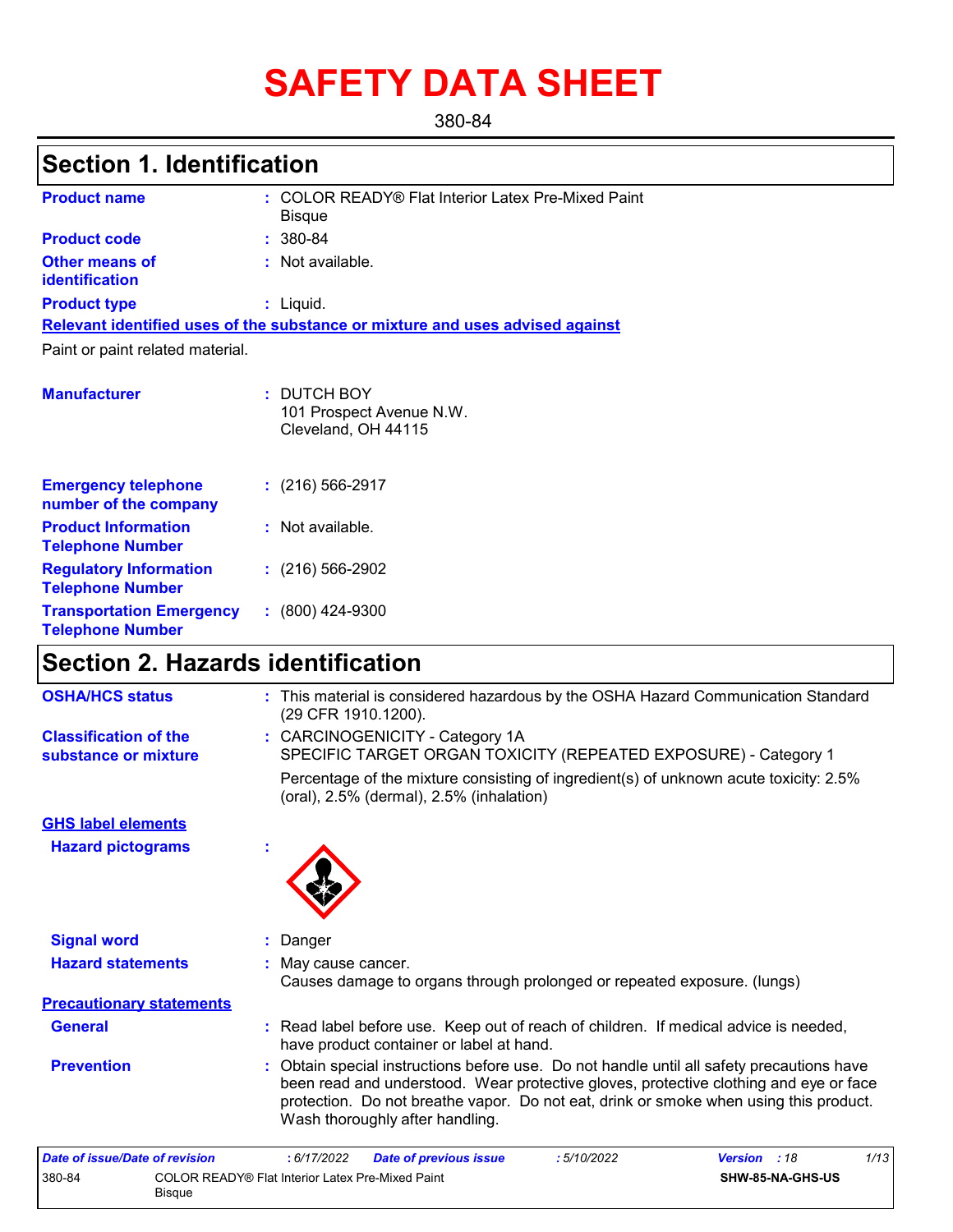# **SAFETY DATA SHEET**

380-84

# **Section 1. Identification**

| <b>Product name</b>                                      | : COLOR READY® Flat Interior Latex Pre-Mixed Paint<br>Bisque                  |
|----------------------------------------------------------|-------------------------------------------------------------------------------|
| <b>Product code</b>                                      | $: 380 - 84$                                                                  |
| <b>Other means of</b><br><b>identification</b>           | : Not available.                                                              |
| <b>Product type</b>                                      | $:$ Liquid.                                                                   |
|                                                          | Relevant identified uses of the substance or mixture and uses advised against |
| Paint or paint related material.                         |                                                                               |
|                                                          |                                                                               |
| <b>Manufacturer</b>                                      | : DUTCH BOY<br>101 Prospect Avenue N.W.<br>Cleveland, OH 44115                |
| <b>Emergency telephone</b><br>number of the company      | $: (216) 566 - 2917$                                                          |
| <b>Product Information</b><br><b>Telephone Number</b>    | : Not available.                                                              |
| <b>Regulatory Information</b><br><b>Telephone Number</b> | $: (216) 566 - 2902$                                                          |
| <b>Transportation Emergency</b>                          | $: (800)$ 424-9300                                                            |

# **Section 2. Hazards identification**

**Telephone Number**

| <b>OSHA/HCS status</b>                               | : This material is considered hazardous by the OSHA Hazard Communication Standard<br>(29 CFR 1910.1200).                                                                                                                                                                                                     |
|------------------------------------------------------|--------------------------------------------------------------------------------------------------------------------------------------------------------------------------------------------------------------------------------------------------------------------------------------------------------------|
| <b>Classification of the</b><br>substance or mixture | : CARCINOGENICITY - Category 1A<br>SPECIFIC TARGET ORGAN TOXICITY (REPEATED EXPOSURE) - Category 1                                                                                                                                                                                                           |
|                                                      | Percentage of the mixture consisting of ingredient(s) of unknown acute toxicity: 2.5%<br>(oral), $2.5\%$ (dermal), $2.5\%$ (inhalation)                                                                                                                                                                      |
| <b>GHS label elements</b>                            |                                                                                                                                                                                                                                                                                                              |
| <b>Hazard pictograms</b>                             |                                                                                                                                                                                                                                                                                                              |
| <b>Signal word</b>                                   | : Danger                                                                                                                                                                                                                                                                                                     |
| <b>Hazard statements</b>                             | May cause cancer.<br>Causes damage to organs through prolonged or repeated exposure. (lungs)                                                                                                                                                                                                                 |
| <b>Precautionary statements</b>                      |                                                                                                                                                                                                                                                                                                              |
| <b>General</b>                                       | : Read label before use. Keep out of reach of children. If medical advice is needed,<br>have product container or label at hand.                                                                                                                                                                             |
| <b>Prevention</b>                                    | Obtain special instructions before use. Do not handle until all safety precautions have<br>been read and understood. Wear protective gloves, protective clothing and eye or face<br>protection. Do not breathe vapor. Do not eat, drink or smoke when using this product.<br>Wash thoroughly after handling. |
| Professor Country (Professor Country Country)        | $\overline{A}$<br>$M = 12.5$<br>Probably of anderstands to accept<br>F/10/0000                                                                                                                                                                                                                               |

| Date of issue/Date of revision |                                                            | : 6/17/2022 | <b>Date of previous issue</b> | : 5/10/2022 | <b>Version</b> : 18 |                  | 1/13 |
|--------------------------------|------------------------------------------------------------|-------------|-------------------------------|-------------|---------------------|------------------|------|
| 380-84                         | COLOR READY® Flat Interior Latex Pre-Mixed Paint<br>Bisque |             |                               |             |                     | SHW-85-NA-GHS-US |      |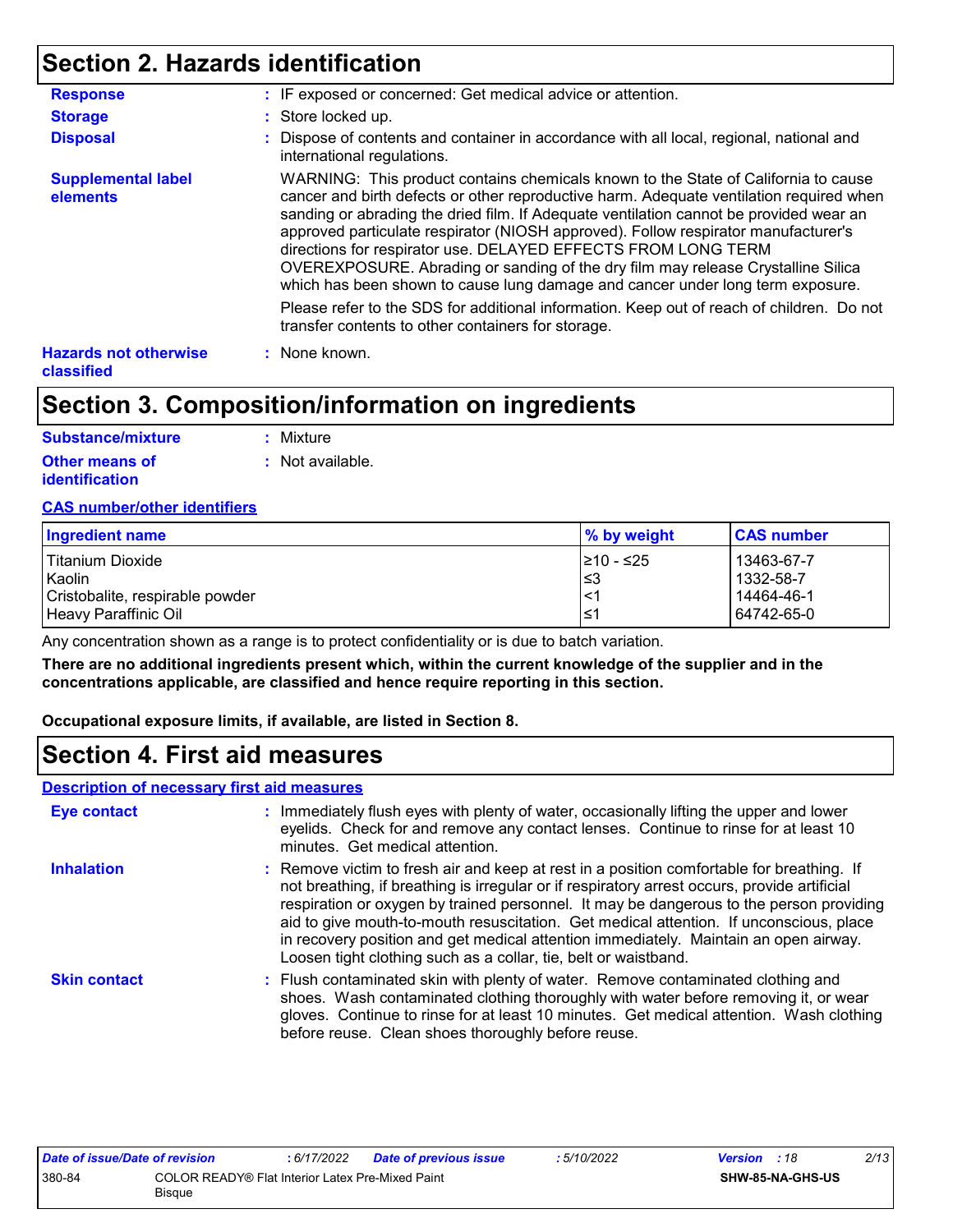# **Section 2. Hazards identification**

| <b>Response</b>                            | : IF exposed or concerned: Get medical advice or attention.                                                                                                                                                                                                                                                                                                                                                                                                                                                                                                                                          |
|--------------------------------------------|------------------------------------------------------------------------------------------------------------------------------------------------------------------------------------------------------------------------------------------------------------------------------------------------------------------------------------------------------------------------------------------------------------------------------------------------------------------------------------------------------------------------------------------------------------------------------------------------------|
| <b>Storage</b>                             | : Store locked up.                                                                                                                                                                                                                                                                                                                                                                                                                                                                                                                                                                                   |
| <b>Disposal</b>                            | : Dispose of contents and container in accordance with all local, regional, national and<br>international regulations.                                                                                                                                                                                                                                                                                                                                                                                                                                                                               |
| <b>Supplemental label</b><br>elements      | WARNING: This product contains chemicals known to the State of California to cause<br>cancer and birth defects or other reproductive harm. Adequate ventilation required when<br>sanding or abrading the dried film. If Adequate ventilation cannot be provided wear an<br>approved particulate respirator (NIOSH approved). Follow respirator manufacturer's<br>directions for respirator use. DELAYED EFFECTS FROM LONG TERM<br>OVEREXPOSURE. Abrading or sanding of the dry film may release Crystalline Silica<br>which has been shown to cause lung damage and cancer under long term exposure. |
|                                            | Please refer to the SDS for additional information. Keep out of reach of children. Do not<br>transfer contents to other containers for storage.                                                                                                                                                                                                                                                                                                                                                                                                                                                      |
| <b>Hazards not otherwise</b><br>classified | : None known.                                                                                                                                                                                                                                                                                                                                                                                                                                                                                                                                                                                        |

# **Section 3. Composition/information on ingredients**

| <b>Substance/mixture</b> | : Mixture                   |
|--------------------------|-----------------------------|
| <b>Other means of</b>    | $\therefore$ Not available. |
| identification           |                             |

#### **CAS number/other identifiers**

| Ingredient name                 | % by weight | <b>CAS number</b> |
|---------------------------------|-------------|-------------------|
| Titanium Dioxide                | l≥10 - ≤25  | 13463-67-7        |
| Kaolin                          | ∣≤3         | 1332-58-7         |
| Cristobalite, respirable powder | $\prec$     | 14464-46-1        |
| Heavy Paraffinic Oil            | 1≤          | 64742-65-0        |

Any concentration shown as a range is to protect confidentiality or is due to batch variation.

**There are no additional ingredients present which, within the current knowledge of the supplier and in the concentrations applicable, are classified and hence require reporting in this section.**

**Occupational exposure limits, if available, are listed in Section 8.**

# **Section 4. First aid measures**

#### **Description of necessary first aid measures**

| <b>Eye contact</b>  | : Immediately flush eyes with plenty of water, occasionally lifting the upper and lower<br>eyelids. Check for and remove any contact lenses. Continue to rinse for at least 10<br>minutes. Get medical attention.                                                                                                                                                                                                                                                                                                                         |
|---------------------|-------------------------------------------------------------------------------------------------------------------------------------------------------------------------------------------------------------------------------------------------------------------------------------------------------------------------------------------------------------------------------------------------------------------------------------------------------------------------------------------------------------------------------------------|
| <b>Inhalation</b>   | : Remove victim to fresh air and keep at rest in a position comfortable for breathing. If<br>not breathing, if breathing is irregular or if respiratory arrest occurs, provide artificial<br>respiration or oxygen by trained personnel. It may be dangerous to the person providing<br>aid to give mouth-to-mouth resuscitation. Get medical attention. If unconscious, place<br>in recovery position and get medical attention immediately. Maintain an open airway.<br>Loosen tight clothing such as a collar, tie, belt or waistband. |
| <b>Skin contact</b> | : Flush contaminated skin with plenty of water. Remove contaminated clothing and<br>shoes. Wash contaminated clothing thoroughly with water before removing it, or wear<br>gloves. Continue to rinse for at least 10 minutes. Get medical attention. Wash clothing<br>before reuse. Clean shoes thoroughly before reuse.                                                                                                                                                                                                                  |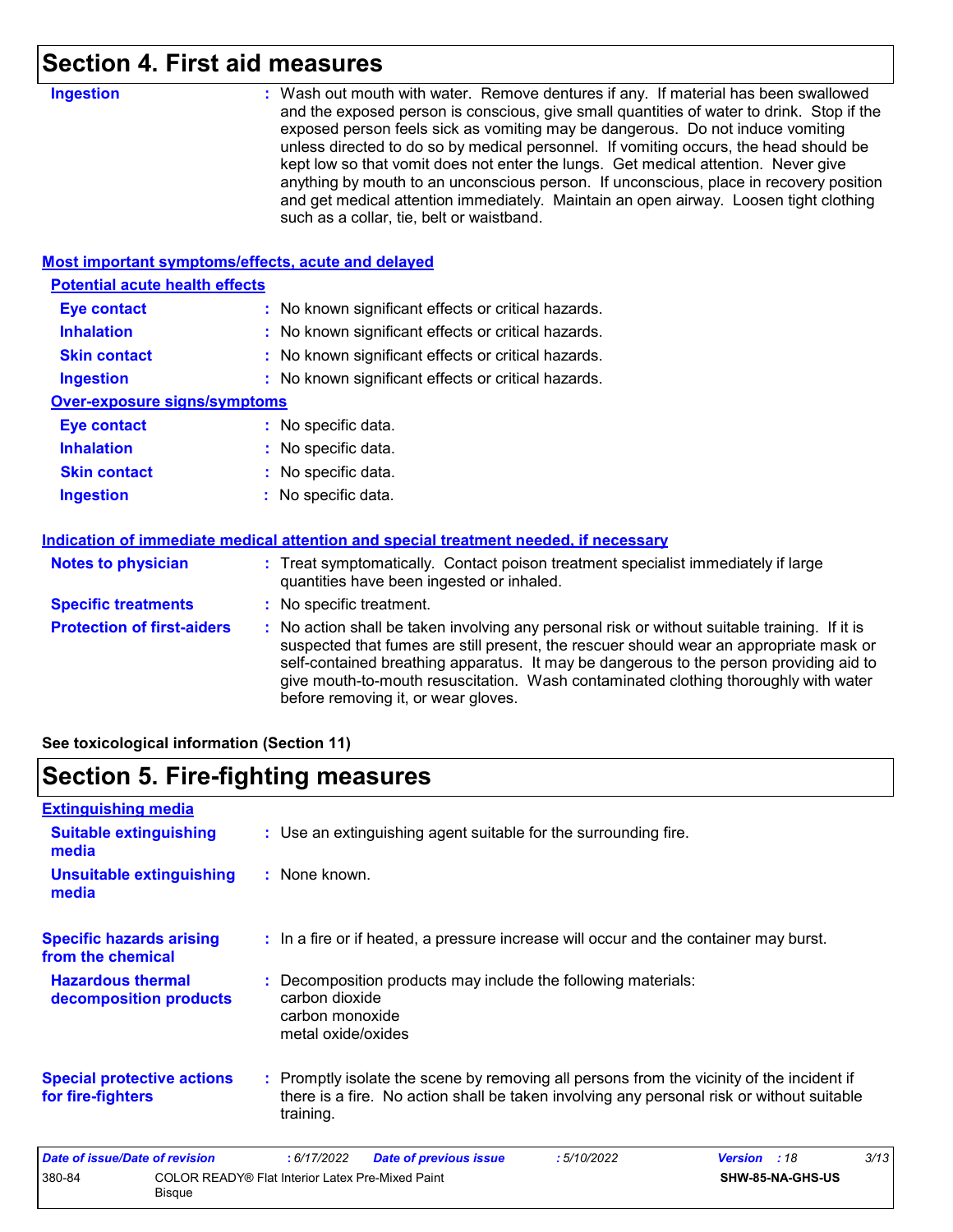# **Section 4. First aid measures**

| <b>Ingestion</b>                                   | : Wash out mouth with water. Remove dentures if any. If material has been swallowed<br>and the exposed person is conscious, give small quantities of water to drink. Stop if the<br>exposed person feels sick as vomiting may be dangerous. Do not induce vomiting<br>unless directed to do so by medical personnel. If vomiting occurs, the head should be<br>kept low so that vomit does not enter the lungs. Get medical attention. Never give<br>anything by mouth to an unconscious person. If unconscious, place in recovery position<br>and get medical attention immediately. Maintain an open airway. Loosen tight clothing<br>such as a collar, tie, belt or waistband. |
|----------------------------------------------------|-----------------------------------------------------------------------------------------------------------------------------------------------------------------------------------------------------------------------------------------------------------------------------------------------------------------------------------------------------------------------------------------------------------------------------------------------------------------------------------------------------------------------------------------------------------------------------------------------------------------------------------------------------------------------------------|
| Most important symptoms/effects, acute and delayed |                                                                                                                                                                                                                                                                                                                                                                                                                                                                                                                                                                                                                                                                                   |
| <b>Potential acute health effects</b>              |                                                                                                                                                                                                                                                                                                                                                                                                                                                                                                                                                                                                                                                                                   |
| <b>Eye contact</b>                                 | : No known significant effects or critical hazards.                                                                                                                                                                                                                                                                                                                                                                                                                                                                                                                                                                                                                               |
| <b>Inhalation</b>                                  | : No known significant effects or critical hazards.                                                                                                                                                                                                                                                                                                                                                                                                                                                                                                                                                                                                                               |
| <b>Skin contact</b>                                | : No known significant effects or critical hazards.                                                                                                                                                                                                                                                                                                                                                                                                                                                                                                                                                                                                                               |
| <b>Ingestion</b>                                   | : No known significant effects or critical hazards.                                                                                                                                                                                                                                                                                                                                                                                                                                                                                                                                                                                                                               |
| <b>Over-exposure signs/symptoms</b>                |                                                                                                                                                                                                                                                                                                                                                                                                                                                                                                                                                                                                                                                                                   |
| <b>Eye contact</b>                                 | : No specific data.                                                                                                                                                                                                                                                                                                                                                                                                                                                                                                                                                                                                                                                               |
| <b>Inhalation</b>                                  | : No specific data.                                                                                                                                                                                                                                                                                                                                                                                                                                                                                                                                                                                                                                                               |
| <b>Skin contact</b>                                | No specific data.                                                                                                                                                                                                                                                                                                                                                                                                                                                                                                                                                                                                                                                                 |
| <b>Ingestion</b>                                   | No specific data.                                                                                                                                                                                                                                                                                                                                                                                                                                                                                                                                                                                                                                                                 |
|                                                    | Indication of immediate medical attention and special treatment needed, if necessary                                                                                                                                                                                                                                                                                                                                                                                                                                                                                                                                                                                              |
| <b>Notes to physician</b>                          | : Treat symptomatically. Contact poison treatment specialist immediately if large<br>quantities have been ingested or inhaled.                                                                                                                                                                                                                                                                                                                                                                                                                                                                                                                                                    |
| <b>Specific treatments</b>                         | : No specific treatment.                                                                                                                                                                                                                                                                                                                                                                                                                                                                                                                                                                                                                                                          |
| <b>Protection of first-aiders</b>                  | : No action shall be taken involving any personal risk or without suitable training. If it is<br>suspected that fumes are still present, the rescuer should wear an appropriate mask or<br>self-contained breathing apparatus. It may be dangerous to the person providing aid to<br>give mouth-to-mouth resuscitation. Wash contaminated clothing thoroughly with water<br>before removing it, or wear gloves.                                                                                                                                                                                                                                                                   |

**See toxicological information (Section 11)**

# **Section 5. Fire-fighting measures**

| <b>Extinguishing media</b>                             |                                                                   |                                                         |                                                                                                                                                                                        |            |                |                  |      |
|--------------------------------------------------------|-------------------------------------------------------------------|---------------------------------------------------------|----------------------------------------------------------------------------------------------------------------------------------------------------------------------------------------|------------|----------------|------------------|------|
| <b>Suitable extinguishing</b><br>media                 |                                                                   |                                                         | : Use an extinguishing agent suitable for the surrounding fire.                                                                                                                        |            |                |                  |      |
| Unsuitable extinguishing<br>media                      |                                                                   | : None known.                                           |                                                                                                                                                                                        |            |                |                  |      |
| <b>Specific hazards arising</b><br>from the chemical   |                                                                   |                                                         | : In a fire or if heated, a pressure increase will occur and the container may burst.                                                                                                  |            |                |                  |      |
| <b>Hazardous thermal</b><br>decomposition products     |                                                                   | carbon dioxide<br>carbon monoxide<br>metal oxide/oxides | : Decomposition products may include the following materials:                                                                                                                          |            |                |                  |      |
| <b>Special protective actions</b><br>for fire-fighters |                                                                   | training.                                               | : Promptly isolate the scene by removing all persons from the vicinity of the incident if<br>there is a fire. No action shall be taken involving any personal risk or without suitable |            |                |                  |      |
| <b>Date of issue/Date of revision</b>                  |                                                                   | : 6/17/2022                                             | <b>Date of previous issue</b>                                                                                                                                                          | :5/10/2022 | <b>Version</b> | :18              | 3/13 |
| 380-84                                                 | COLOR READY® Flat Interior Latex Pre-Mixed Paint<br><b>Bisque</b> |                                                         |                                                                                                                                                                                        |            |                | SHW-85-NA-GHS-US |      |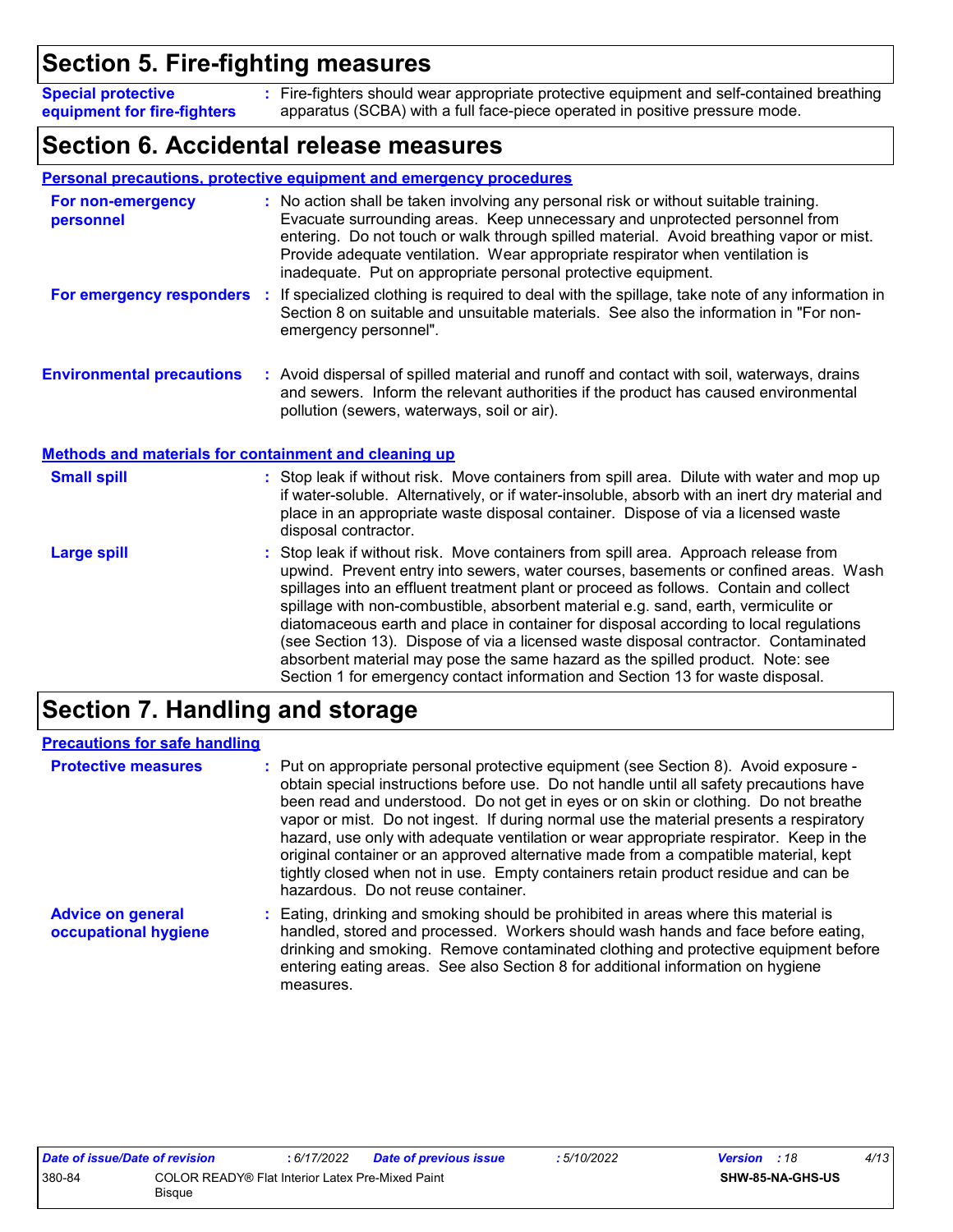# **Section 5. Fire-fighting measures**

Fire-fighters should wear appropriate protective equipment and self-contained breathing **:** apparatus (SCBA) with a full face-piece operated in positive pressure mode. **Special protective equipment for fire-fighters**

# **Section 6. Accidental release measures**

|                                                              | Personal precautions, protective equipment and emergency procedures                                                                                                                                                                                                                                                                                                                                                                                                                                                                                                                                                                                                                                        |  |  |  |
|--------------------------------------------------------------|------------------------------------------------------------------------------------------------------------------------------------------------------------------------------------------------------------------------------------------------------------------------------------------------------------------------------------------------------------------------------------------------------------------------------------------------------------------------------------------------------------------------------------------------------------------------------------------------------------------------------------------------------------------------------------------------------------|--|--|--|
| For non-emergency<br>personnel                               | : No action shall be taken involving any personal risk or without suitable training.<br>Evacuate surrounding areas. Keep unnecessary and unprotected personnel from<br>entering. Do not touch or walk through spilled material. Avoid breathing vapor or mist.<br>Provide adequate ventilation. Wear appropriate respirator when ventilation is<br>inadequate. Put on appropriate personal protective equipment.                                                                                                                                                                                                                                                                                           |  |  |  |
| For emergency responders                                     | If specialized clothing is required to deal with the spillage, take note of any information in<br>÷.<br>Section 8 on suitable and unsuitable materials. See also the information in "For non-<br>emergency personnel".                                                                                                                                                                                                                                                                                                                                                                                                                                                                                     |  |  |  |
| <b>Environmental precautions</b>                             | : Avoid dispersal of spilled material and runoff and contact with soil, waterways, drains<br>and sewers. Inform the relevant authorities if the product has caused environmental<br>pollution (sewers, waterways, soil or air).                                                                                                                                                                                                                                                                                                                                                                                                                                                                            |  |  |  |
| <b>Methods and materials for containment and cleaning up</b> |                                                                                                                                                                                                                                                                                                                                                                                                                                                                                                                                                                                                                                                                                                            |  |  |  |
| <b>Small spill</b>                                           | : Stop leak if without risk. Move containers from spill area. Dilute with water and mop up<br>if water-soluble. Alternatively, or if water-insoluble, absorb with an inert dry material and<br>place in an appropriate waste disposal container. Dispose of via a licensed waste<br>disposal contractor.                                                                                                                                                                                                                                                                                                                                                                                                   |  |  |  |
| <b>Large spill</b>                                           | Stop leak if without risk. Move containers from spill area. Approach release from<br>upwind. Prevent entry into sewers, water courses, basements or confined areas. Wash<br>spillages into an effluent treatment plant or proceed as follows. Contain and collect<br>spillage with non-combustible, absorbent material e.g. sand, earth, vermiculite or<br>diatomaceous earth and place in container for disposal according to local regulations<br>(see Section 13). Dispose of via a licensed waste disposal contractor. Contaminated<br>absorbent material may pose the same hazard as the spilled product. Note: see<br>Section 1 for emergency contact information and Section 13 for waste disposal. |  |  |  |

# **Section 7. Handling and storage**

| <b>Precautions for safe handling</b>             |                                                                                                                                                                                                                                                                                                                                                                                                                                                                                                                                                                                                                                                                               |
|--------------------------------------------------|-------------------------------------------------------------------------------------------------------------------------------------------------------------------------------------------------------------------------------------------------------------------------------------------------------------------------------------------------------------------------------------------------------------------------------------------------------------------------------------------------------------------------------------------------------------------------------------------------------------------------------------------------------------------------------|
| <b>Protective measures</b>                       | : Put on appropriate personal protective equipment (see Section 8). Avoid exposure -<br>obtain special instructions before use. Do not handle until all safety precautions have<br>been read and understood. Do not get in eyes or on skin or clothing. Do not breathe<br>vapor or mist. Do not ingest. If during normal use the material presents a respiratory<br>hazard, use only with adequate ventilation or wear appropriate respirator. Keep in the<br>original container or an approved alternative made from a compatible material, kept<br>tightly closed when not in use. Empty containers retain product residue and can be<br>hazardous. Do not reuse container. |
| <b>Advice on general</b><br>occupational hygiene | : Eating, drinking and smoking should be prohibited in areas where this material is<br>handled, stored and processed. Workers should wash hands and face before eating,<br>drinking and smoking. Remove contaminated clothing and protective equipment before<br>entering eating areas. See also Section 8 for additional information on hygiene<br>measures.                                                                                                                                                                                                                                                                                                                 |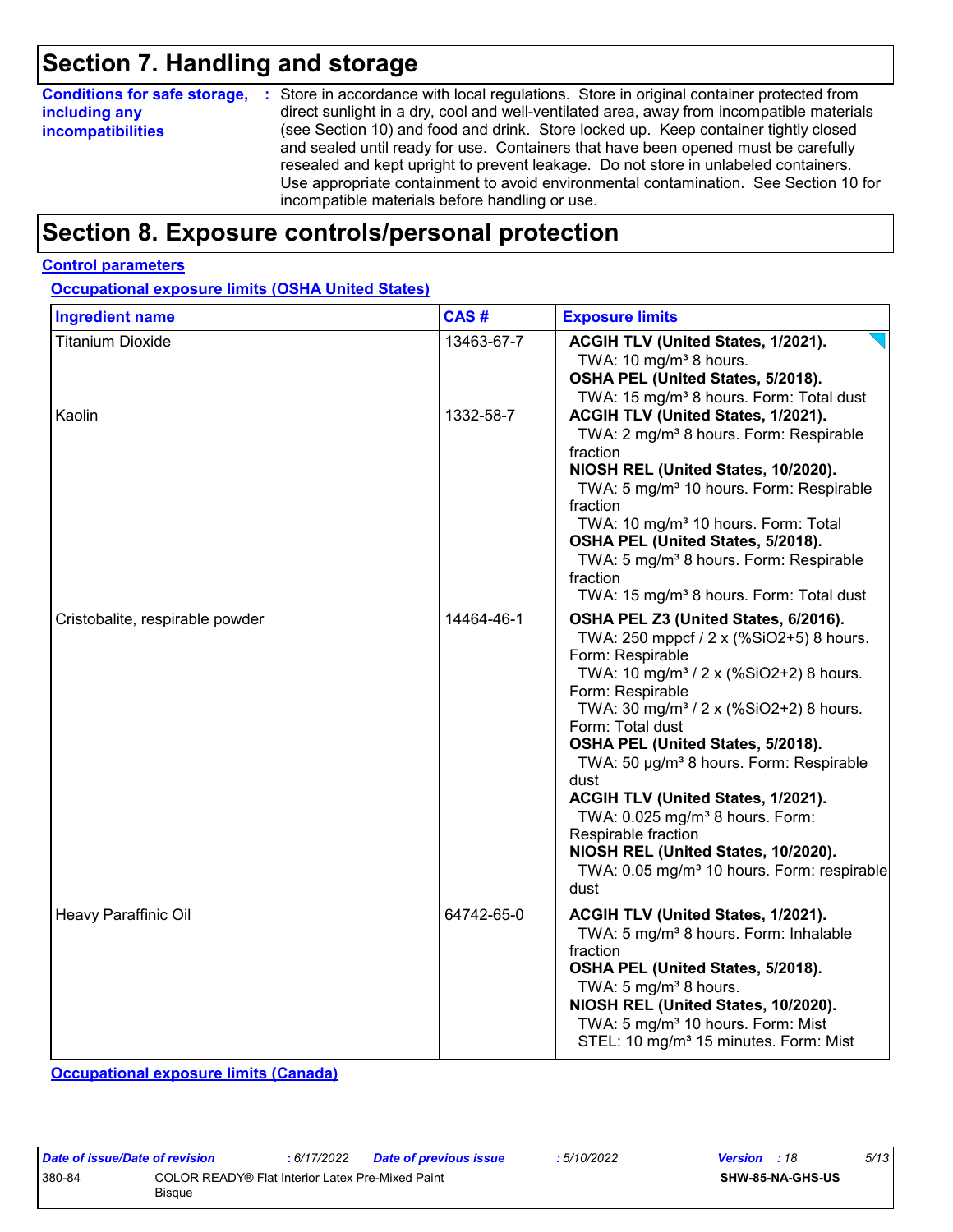# **Section 7. Handling and storage**

| <b>Conditions for safe storage,</b> | : Store in accordance with local regulations. Store in original container protected from                                                                                                                                                                                                                                                                                                                   |
|-------------------------------------|------------------------------------------------------------------------------------------------------------------------------------------------------------------------------------------------------------------------------------------------------------------------------------------------------------------------------------------------------------------------------------------------------------|
| including any                       | direct sunlight in a dry, cool and well-ventilated area, away from incompatible materials                                                                                                                                                                                                                                                                                                                  |
| <b>incompatibilities</b>            | (see Section 10) and food and drink. Store locked up. Keep container tightly closed<br>and sealed until ready for use. Containers that have been opened must be carefully<br>resealed and kept upright to prevent leakage. Do not store in unlabeled containers.<br>Use appropriate containment to avoid environmental contamination. See Section 10 for<br>incompatible materials before handling or use. |

# **Section 8. Exposure controls/personal protection**

#### **Control parameters**

**Occupational exposure limits (OSHA United States)**

| <b>Ingredient name</b>          | CAS#       | <b>Exposure limits</b>                                                                                                                                                                                                                                                                                                                                                                                                                                                                                                                                                           |
|---------------------------------|------------|----------------------------------------------------------------------------------------------------------------------------------------------------------------------------------------------------------------------------------------------------------------------------------------------------------------------------------------------------------------------------------------------------------------------------------------------------------------------------------------------------------------------------------------------------------------------------------|
| <b>Titanium Dioxide</b>         | 13463-67-7 | ACGIH TLV (United States, 1/2021).<br>TWA: 10 mg/m <sup>3</sup> 8 hours.<br>OSHA PEL (United States, 5/2018).<br>TWA: 15 mg/m <sup>3</sup> 8 hours. Form: Total dust                                                                                                                                                                                                                                                                                                                                                                                                             |
| Kaolin                          | 1332-58-7  | ACGIH TLV (United States, 1/2021).<br>TWA: 2 mg/m <sup>3</sup> 8 hours. Form: Respirable<br>fraction<br>NIOSH REL (United States, 10/2020).<br>TWA: 5 mg/m <sup>3</sup> 10 hours. Form: Respirable<br>fraction<br>TWA: 10 mg/m <sup>3</sup> 10 hours. Form: Total<br>OSHA PEL (United States, 5/2018).<br>TWA: 5 mg/m <sup>3</sup> 8 hours. Form: Respirable<br>fraction<br>TWA: 15 mg/m <sup>3</sup> 8 hours. Form: Total dust                                                                                                                                                  |
| Cristobalite, respirable powder | 14464-46-1 | OSHA PEL Z3 (United States, 6/2016).<br>TWA: 250 mppcf / 2 x (%SiO2+5) 8 hours.<br>Form: Respirable<br>TWA: 10 mg/m <sup>3</sup> / 2 x (%SiO2+2) 8 hours.<br>Form: Respirable<br>TWA: 30 mg/m <sup>3</sup> / 2 x (%SiO2+2) 8 hours.<br>Form: Total dust<br>OSHA PEL (United States, 5/2018).<br>TWA: 50 µg/m <sup>3</sup> 8 hours. Form: Respirable<br>dust<br>ACGIH TLV (United States, 1/2021).<br>TWA: 0.025 mg/m <sup>3</sup> 8 hours. Form:<br>Respirable fraction<br>NIOSH REL (United States, 10/2020).<br>TWA: 0.05 mg/m <sup>3</sup> 10 hours. Form: respirable<br>dust |
| Heavy Paraffinic Oil            | 64742-65-0 | ACGIH TLV (United States, 1/2021).<br>TWA: 5 mg/m <sup>3</sup> 8 hours. Form: Inhalable<br>fraction<br>OSHA PEL (United States, 5/2018).<br>TWA: 5 mg/m <sup>3</sup> 8 hours.<br>NIOSH REL (United States, 10/2020).<br>TWA: 5 mg/m <sup>3</sup> 10 hours. Form: Mist<br>STEL: 10 mg/m <sup>3</sup> 15 minutes. Form: Mist                                                                                                                                                                                                                                                       |

**Occupational exposure limits (Canada)**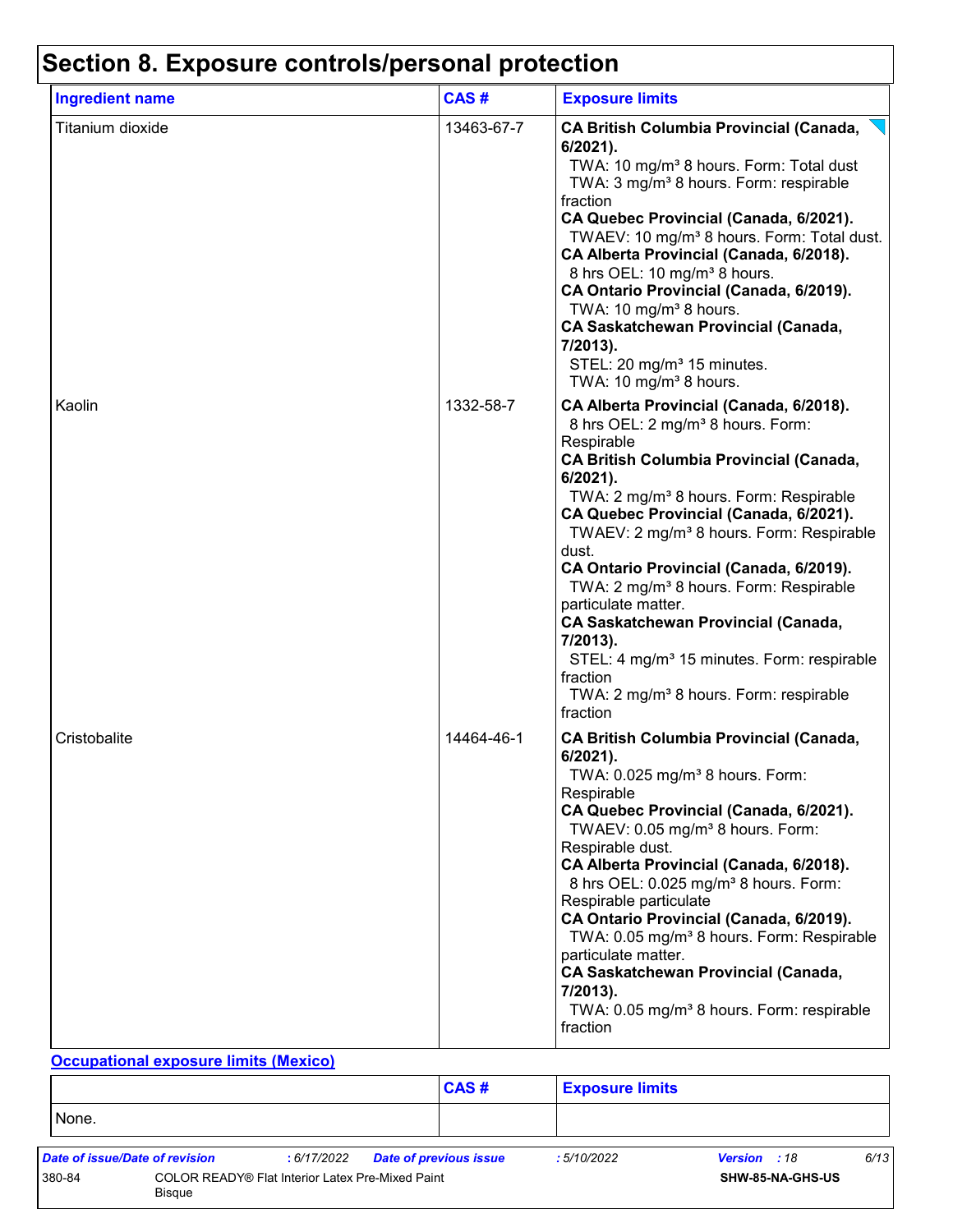| <b>Ingredient name</b> | CAS#       | <b>Exposure limits</b>                                                                                                                                                                                                                                                                                                                                                                                                                                                                                                                                                                                                                                             |
|------------------------|------------|--------------------------------------------------------------------------------------------------------------------------------------------------------------------------------------------------------------------------------------------------------------------------------------------------------------------------------------------------------------------------------------------------------------------------------------------------------------------------------------------------------------------------------------------------------------------------------------------------------------------------------------------------------------------|
| Titanium dioxide       | 13463-67-7 | <b>CA British Columbia Provincial (Canada,</b><br>6/2021).<br>TWA: 10 mg/m <sup>3</sup> 8 hours. Form: Total dust<br>TWA: 3 mg/m <sup>3</sup> 8 hours. Form: respirable<br>fraction<br>CA Quebec Provincial (Canada, 6/2021).<br>TWAEV: 10 mg/m <sup>3</sup> 8 hours. Form: Total dust.<br>CA Alberta Provincial (Canada, 6/2018).<br>8 hrs OEL: 10 mg/m <sup>3</sup> 8 hours.<br>CA Ontario Provincial (Canada, 6/2019).<br>TWA: 10 mg/m <sup>3</sup> 8 hours.<br><b>CA Saskatchewan Provincial (Canada,</b><br>7/2013).<br>STEL: 20 mg/m <sup>3</sup> 15 minutes.<br>TWA: 10 mg/m <sup>3</sup> 8 hours.                                                          |
| Kaolin                 | 1332-58-7  | CA Alberta Provincial (Canada, 6/2018).<br>8 hrs OEL: 2 mg/m <sup>3</sup> 8 hours. Form:<br>Respirable<br><b>CA British Columbia Provincial (Canada,</b><br>$6/2021$ ).<br>TWA: 2 mg/m <sup>3</sup> 8 hours. Form: Respirable<br>CA Quebec Provincial (Canada, 6/2021).<br>TWAEV: 2 mg/m <sup>3</sup> 8 hours. Form: Respirable<br>dust.<br>CA Ontario Provincial (Canada, 6/2019).<br>TWA: 2 mg/m <sup>3</sup> 8 hours. Form: Respirable<br>particulate matter.<br><b>CA Saskatchewan Provincial (Canada,</b><br>7/2013).<br>STEL: 4 mg/m <sup>3</sup> 15 minutes. Form: respirable<br>fraction<br>TWA: 2 mg/m <sup>3</sup> 8 hours. Form: respirable<br>fraction |
| Cristobalite           | 14464-46-1 | <b>CA British Columbia Provincial (Canada,</b><br>$6/2021$ ).<br>TWA: 0.025 mg/m <sup>3</sup> 8 hours. Form:<br>Respirable<br>CA Quebec Provincial (Canada, 6/2021).<br>TWAEV: 0.05 mg/m <sup>3</sup> 8 hours. Form:<br>Respirable dust.<br>CA Alberta Provincial (Canada, 6/2018).<br>8 hrs OEL: 0.025 mg/m <sup>3</sup> 8 hours. Form:<br>Respirable particulate<br>CA Ontario Provincial (Canada, 6/2019).<br>TWA: 0.05 mg/m <sup>3</sup> 8 hours. Form: Respirable<br>particulate matter.<br><b>CA Saskatchewan Provincial (Canada,</b><br>7/2013).<br>TWA: 0.05 mg/m <sup>3</sup> 8 hours. Form: respirable<br>fraction                                       |

#### **Occupational exposure limits (Mexico)**

|        |                                |                                                         | <b>CAS#</b>            | <b>Exposure limits</b> |                     |      |
|--------|--------------------------------|---------------------------------------------------------|------------------------|------------------------|---------------------|------|
| None.  |                                |                                                         |                        |                        |                     |      |
|        | Date of issue/Date of revision | : 6/17/2022                                             | Date of previous issue | :5/10/2022             | <b>Version</b> : 18 | 6/13 |
| 380-84 | <b>Bisque</b>                  | <b>COLOR READY® Flat Interior Latex Pre-Mixed Paint</b> |                        |                        | SHW-85-NA-GHS-US    |      |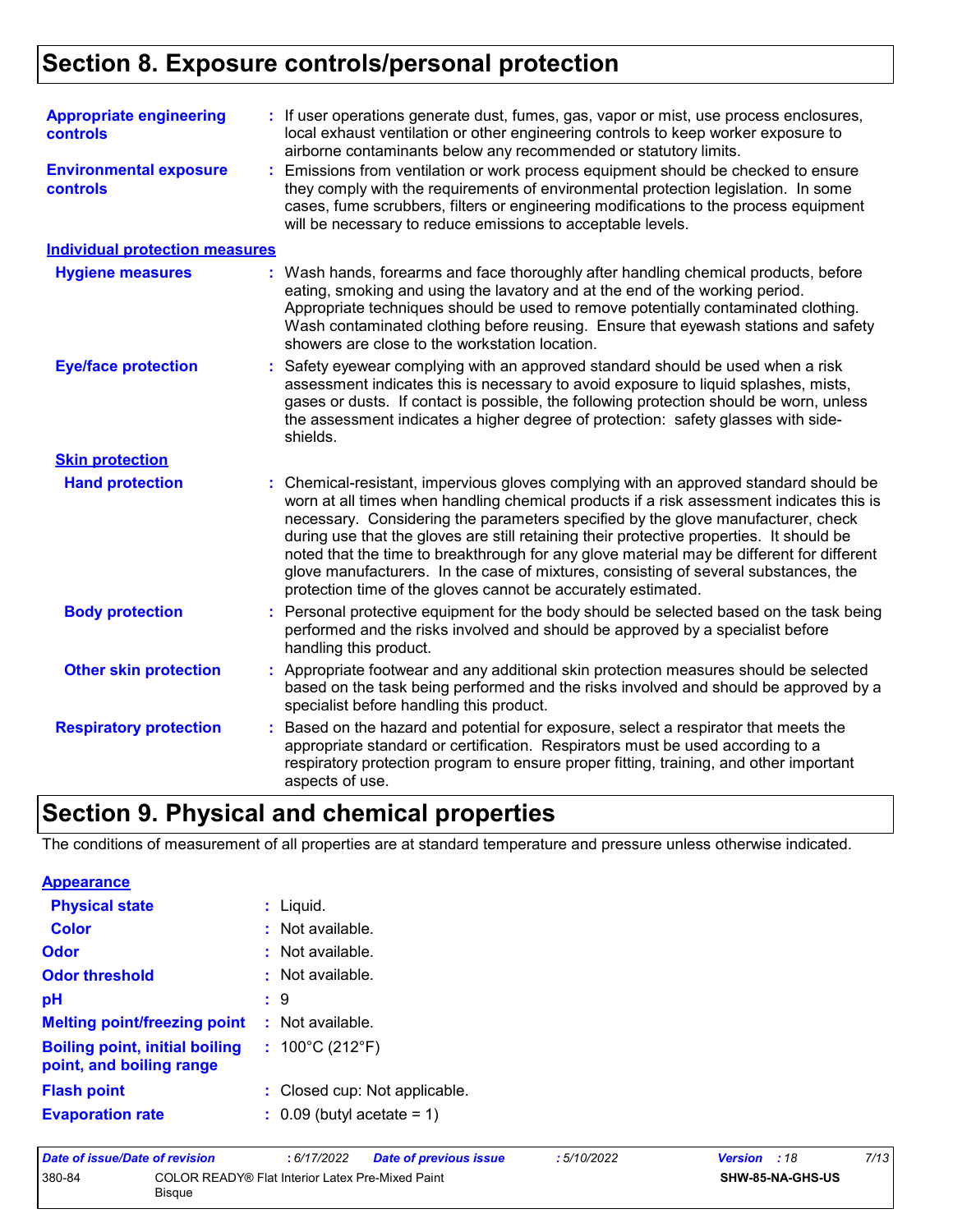# **Section 8. Exposure controls/personal protection**

| <b>Appropriate engineering</b><br><b>controls</b> |    | : If user operations generate dust, fumes, gas, vapor or mist, use process enclosures,<br>local exhaust ventilation or other engineering controls to keep worker exposure to<br>airborne contaminants below any recommended or statutory limits.                                                                                                                                                                                                                                                                                                                                                                     |  |  |  |
|---------------------------------------------------|----|----------------------------------------------------------------------------------------------------------------------------------------------------------------------------------------------------------------------------------------------------------------------------------------------------------------------------------------------------------------------------------------------------------------------------------------------------------------------------------------------------------------------------------------------------------------------------------------------------------------------|--|--|--|
| <b>Environmental exposure</b><br><b>controls</b>  | ÷. | Emissions from ventilation or work process equipment should be checked to ensure<br>they comply with the requirements of environmental protection legislation. In some<br>cases, fume scrubbers, filters or engineering modifications to the process equipment<br>will be necessary to reduce emissions to acceptable levels.                                                                                                                                                                                                                                                                                        |  |  |  |
| <b>Individual protection measures</b>             |    |                                                                                                                                                                                                                                                                                                                                                                                                                                                                                                                                                                                                                      |  |  |  |
| <b>Hygiene measures</b>                           |    | : Wash hands, forearms and face thoroughly after handling chemical products, before<br>eating, smoking and using the lavatory and at the end of the working period.<br>Appropriate techniques should be used to remove potentially contaminated clothing.<br>Wash contaminated clothing before reusing. Ensure that eyewash stations and safety<br>showers are close to the workstation location.                                                                                                                                                                                                                    |  |  |  |
| <b>Eye/face protection</b>                        | ÷. | Safety eyewear complying with an approved standard should be used when a risk<br>assessment indicates this is necessary to avoid exposure to liquid splashes, mists,<br>gases or dusts. If contact is possible, the following protection should be worn, unless<br>the assessment indicates a higher degree of protection: safety glasses with side-<br>shields.                                                                                                                                                                                                                                                     |  |  |  |
| <b>Skin protection</b>                            |    |                                                                                                                                                                                                                                                                                                                                                                                                                                                                                                                                                                                                                      |  |  |  |
| <b>Hand protection</b>                            |    | Chemical-resistant, impervious gloves complying with an approved standard should be<br>worn at all times when handling chemical products if a risk assessment indicates this is<br>necessary. Considering the parameters specified by the glove manufacturer, check<br>during use that the gloves are still retaining their protective properties. It should be<br>noted that the time to breakthrough for any glove material may be different for different<br>glove manufacturers. In the case of mixtures, consisting of several substances, the<br>protection time of the gloves cannot be accurately estimated. |  |  |  |
| <b>Body protection</b>                            |    | Personal protective equipment for the body should be selected based on the task being<br>performed and the risks involved and should be approved by a specialist before<br>handling this product.                                                                                                                                                                                                                                                                                                                                                                                                                    |  |  |  |
| <b>Other skin protection</b>                      |    | Appropriate footwear and any additional skin protection measures should be selected<br>based on the task being performed and the risks involved and should be approved by a<br>specialist before handling this product.                                                                                                                                                                                                                                                                                                                                                                                              |  |  |  |
| <b>Respiratory protection</b>                     |    | Based on the hazard and potential for exposure, select a respirator that meets the<br>appropriate standard or certification. Respirators must be used according to a<br>respiratory protection program to ensure proper fitting, training, and other important<br>aspects of use.                                                                                                                                                                                                                                                                                                                                    |  |  |  |

# **Section 9. Physical and chemical properties**

The conditions of measurement of all properties are at standard temperature and pressure unless otherwise indicated.

| <b>Appearance</b>                                                 |    |                                       |
|-------------------------------------------------------------------|----|---------------------------------------|
| <b>Physical state</b>                                             |    | Liquid.                               |
| Color                                                             |    | Not available.                        |
| Odor                                                              |    | $:$ Not available.                    |
| <b>Odor threshold</b>                                             |    | $:$ Not available.                    |
| рH                                                                |    | : 9                                   |
| <b>Melting point/freezing point</b>                               |    | $:$ Not available.                    |
| <b>Boiling point, initial boiling</b><br>point, and boiling range |    | : $100^{\circ}$ C (212 $^{\circ}$ F)  |
| <b>Flash point</b>                                                | t. | Closed cup: Not applicable.           |
| <b>Evaporation rate</b>                                           |    | $\therefore$ 0.09 (butyl acetate = 1) |

| Date of issue/Date of revision |                                                                   | : 6/17/2022 | <b>Date of previous issue</b> | : 5/10/2022 | <b>Version</b> : 18 | 7/13 |
|--------------------------------|-------------------------------------------------------------------|-------------|-------------------------------|-------------|---------------------|------|
| 380-84                         | COLOR READY® Flat Interior Latex Pre-Mixed Paint<br><b>Bisque</b> |             |                               |             | SHW-85-NA-GHS-US    |      |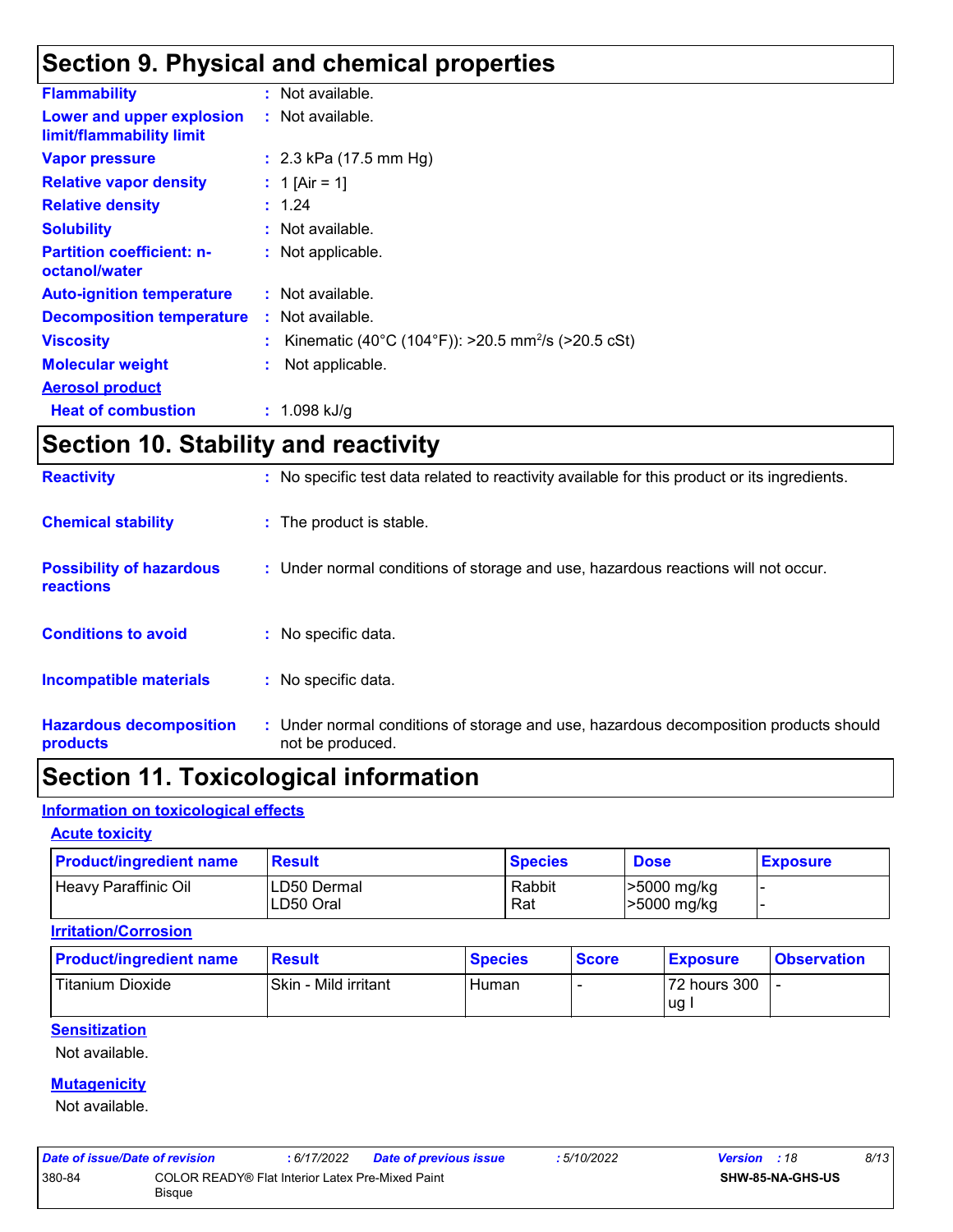# **Section 9. Physical and chemical properties**

| <b>Flammability</b>                                   | : Not available.                                                 |
|-------------------------------------------------------|------------------------------------------------------------------|
| Lower and upper explosion<br>limit/flammability limit | : Not available.                                                 |
| <b>Vapor pressure</b>                                 | : $2.3$ kPa (17.5 mm Hg)                                         |
| <b>Relative vapor density</b>                         | : 1 [Air = 1]                                                    |
| <b>Relative density</b>                               | : 1.24                                                           |
| <b>Solubility</b>                                     | : Not available.                                                 |
| <b>Partition coefficient: n-</b><br>octanol/water     | : Not applicable.                                                |
| <b>Auto-ignition temperature</b>                      | : Not available.                                                 |
| <b>Decomposition temperature</b>                      | : Not available.                                                 |
| <b>Viscosity</b>                                      | : Kinematic (40°C (104°F)): >20.5 mm <sup>2</sup> /s (>20.5 cSt) |
| <b>Molecular weight</b>                               | Not applicable.                                                  |
| <b>Aerosol product</b>                                |                                                                  |
| <b>Heat of combustion</b>                             | : $1.098$ kJ/g                                                   |

# **Section 10. Stability and reactivity**

| <b>Hazardous decomposition</b><br>products          | : Under normal conditions of storage and use, hazardous decomposition products should<br>not be produced. |
|-----------------------------------------------------|-----------------------------------------------------------------------------------------------------------|
| <b>Incompatible materials</b>                       | : No specific data.                                                                                       |
| <b>Conditions to avoid</b>                          | No specific data.                                                                                         |
| <b>Possibility of hazardous</b><br><b>reactions</b> | : Under normal conditions of storage and use, hazardous reactions will not occur.                         |
| <b>Chemical stability</b>                           | : The product is stable.                                                                                  |
| <b>Reactivity</b>                                   | : No specific test data related to reactivity available for this product or its ingredients.              |

# **Section 11. Toxicological information**

#### **Information on toxicological effects**

#### **Acute toxicity**

| <b>Product/ingredient name</b> | <b>Result</b>            | <b>Species</b> | <b>Dose</b>                | <b>Exposure</b> |
|--------------------------------|--------------------------|----------------|----------------------------|-----------------|
| Heavy Paraffinic Oil           | LD50 Dermal<br>LD50 Oral | Rabbit<br>Rat  | >5000 mg/kg<br>>5000 mg/kg |                 |

#### **Irritation/Corrosion**

| <b>Product/ingredient name</b> | <b>Result</b>        | <b>Species</b> | <b>Score</b> | <b>Exposure</b> | <b>Observation</b> |
|--------------------------------|----------------------|----------------|--------------|-----------------|--------------------|
| <b>Titanium Dioxide</b>        | Skin - Mild irritant | Human          |              | 72 hours 300    |                    |
|                                |                      |                |              | lug             |                    |

#### **Sensitization**

Not available.

#### **Mutagenicity**

Not available.

| Date of issue/Date of revision |                                                                   | : 6/17/2022 | <b>Date of previous issue</b> | : 5/10/2022 | <b>Version</b> : 18     | 8/13 |
|--------------------------------|-------------------------------------------------------------------|-------------|-------------------------------|-------------|-------------------------|------|
| 380-84                         | COLOR READY® Flat Interior Latex Pre-Mixed Paint<br><b>Bisque</b> |             |                               |             | <b>SHW-85-NA-GHS-US</b> |      |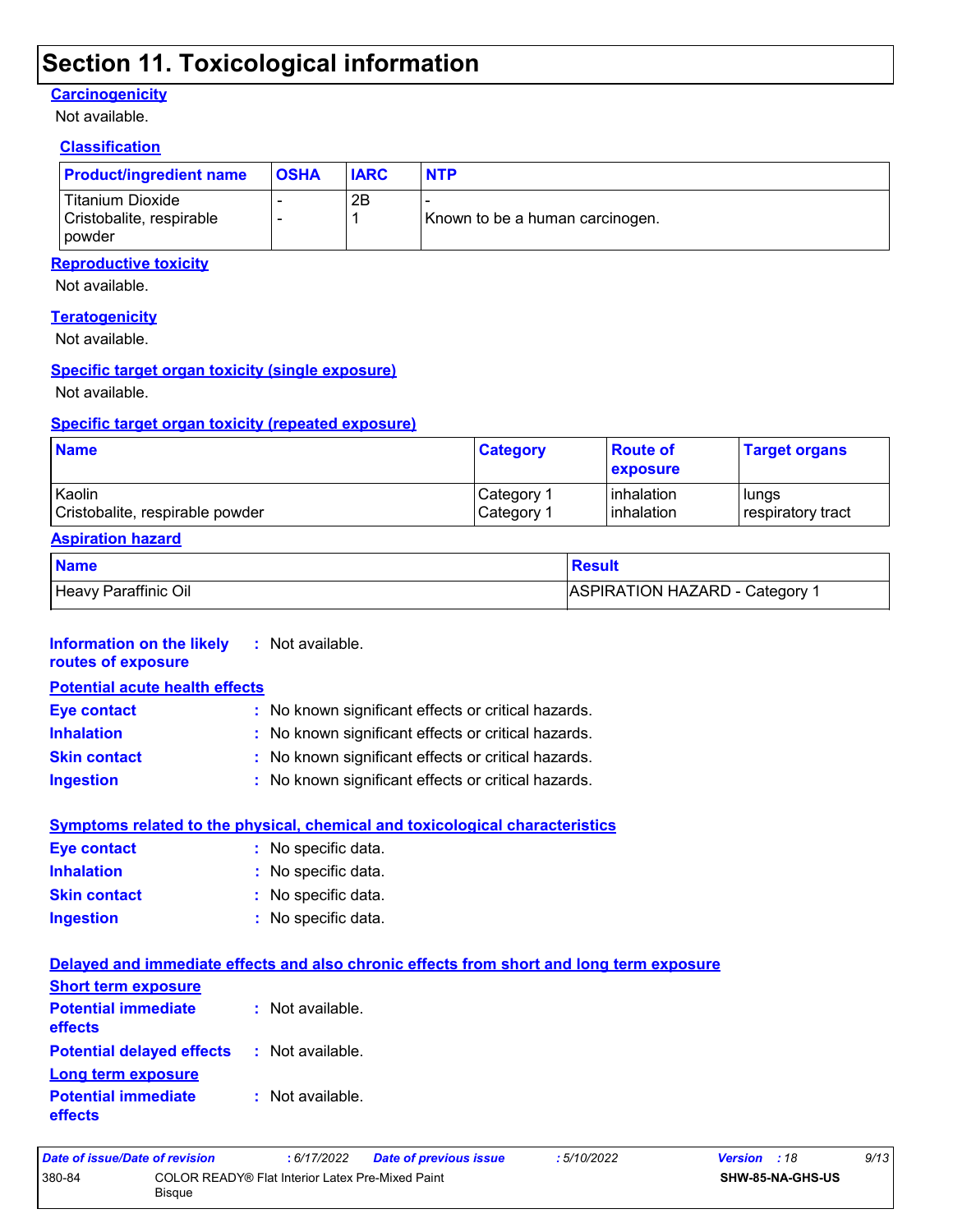# **Section 11. Toxicological information**

#### **Carcinogenicity**

Not available.

#### **Classification**

| <b>Product/ingredient name</b>                                | <b>OSHA</b> | <b>IARC</b> | <b>NTP</b>                      |
|---------------------------------------------------------------|-------------|-------------|---------------------------------|
| Titanium Dioxide<br>Cristobalite, respirable<br><b>powder</b> |             | 2Β          | Known to be a human carcinogen. |

#### **Reproductive toxicity**

Not available.

#### **Teratogenicity**

Not available.

#### **Specific target organ toxicity (single exposure)**

Not available.

#### **Specific target organ toxicity (repeated exposure)**

| <b>Name</b>                     | <b>Category</b>        | <b>Route of</b><br><b>Lexposure</b> | <b>Target organs</b> |
|---------------------------------|------------------------|-------------------------------------|----------------------|
| Kaolin                          | ⊩Category <sup>≁</sup> | <b>l</b> inhalation                 | l lungs              |
| Cristobalite, respirable powder | Category 1             | <b>l</b> inhalation                 | respiratory tract    |

#### **Aspiration hazard**

**effects**

| <b>Name</b>          | Result                                |
|----------------------|---------------------------------------|
| Heavy Paraffinic Oil | <b>ASPIRATION HAZARD - Category 1</b> |

| <b>Information on the likely</b><br>routes of exposure | : Not available.                                    |
|--------------------------------------------------------|-----------------------------------------------------|
| <b>Potential acute health effects</b>                  |                                                     |
| <b>Eye contact</b>                                     | : No known significant effects or critical hazards. |
| <b>Inhalation</b>                                      | : No known significant effects or critical hazards. |
| <b>Skin contact</b>                                    | : No known significant effects or critical hazards. |
| <b>Ingestion</b>                                       | : No known significant effects or critical hazards. |

|                     | <b>Symptoms related to the physical, chemical and toxicological characteristics</b> |
|---------------------|-------------------------------------------------------------------------------------|
| <b>Eye contact</b>  | : No specific data.                                                                 |
| <b>Inhalation</b>   | : No specific data.                                                                 |
| <b>Skin contact</b> | : No specific data.                                                                 |
| <b>Ingestion</b>    | : No specific data.                                                                 |

|                                                        | Delayed and immediate effects and also chronic effects from short and long term exposure |
|--------------------------------------------------------|------------------------------------------------------------------------------------------|
| <b>Short term exposure</b>                             |                                                                                          |
| <b>Potential immediate : Not available.</b><br>effects |                                                                                          |
| <b>Potential delayed effects : Not available.</b>      |                                                                                          |
| Long term exposure                                     |                                                                                          |
| <b>Potential immediate</b>                             | : Not available.                                                                         |

| Date of issue/Date of revision |                                                            | : 6/17/2022 | <b>Date of previous issue</b> | : 5/10/2022             | <b>Version</b> : 18 | 9/13 |
|--------------------------------|------------------------------------------------------------|-------------|-------------------------------|-------------------------|---------------------|------|
| 380-84                         | COLOR READY® Flat Interior Latex Pre-Mixed Paint<br>Bisaue |             |                               | <b>SHW-85-NA-GHS-US</b> |                     |      |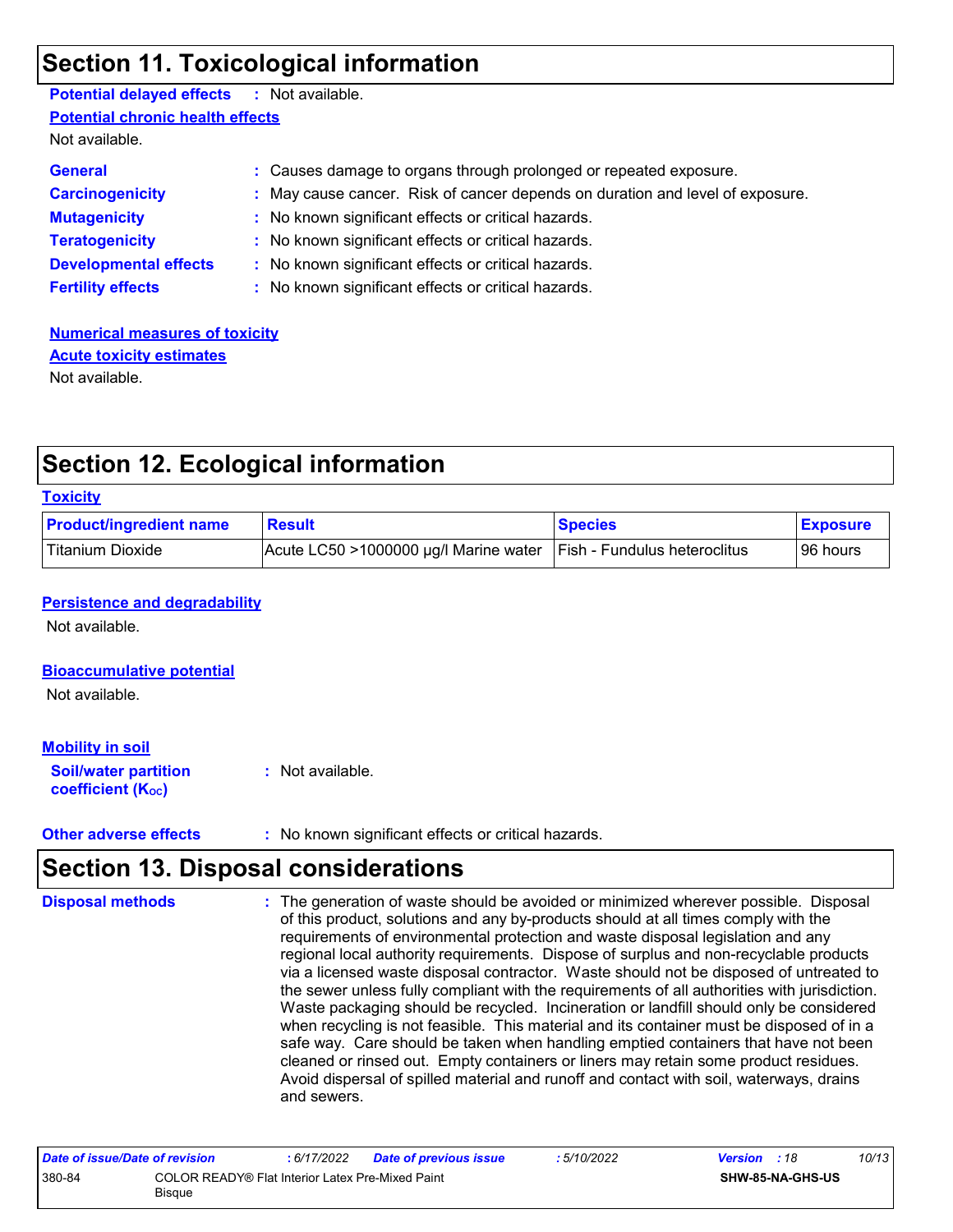# **Section 11. Toxicological information**

| <b>Potential delayed effects : Not available.</b> |                                                                               |
|---------------------------------------------------|-------------------------------------------------------------------------------|
| <b>Potential chronic health effects</b>           |                                                                               |
| Not available.                                    |                                                                               |
| <b>General</b>                                    | : Causes damage to organs through prolonged or repeated exposure.             |
| <b>Carcinogenicity</b>                            | : May cause cancer. Risk of cancer depends on duration and level of exposure. |
| <b>Mutagenicity</b>                               | : No known significant effects or critical hazards.                           |
| <b>Teratogenicity</b>                             | : No known significant effects or critical hazards.                           |
| <b>Developmental effects</b>                      | : No known significant effects or critical hazards.                           |
| <b>Fertility effects</b>                          | : No known significant effects or critical hazards.                           |
|                                                   |                                                                               |

#### **Numerical measures of toxicity** Not available. **Acute toxicity estimates**

# **Section 12. Ecological information**

#### **Toxicity**

| <b>Product/ingredient name</b> | <b>Result</b>                            | <b>Species</b>                      | <b>Exposure</b> |
|--------------------------------|------------------------------------------|-------------------------------------|-----------------|
| Titanium Dioxide               | Acute LC50 $>$ 1000000 µg/l Marine water | <b>Fish - Fundulus heteroclitus</b> | 96 hours        |

#### **Persistence and degradability**

Not available.

#### **Bioaccumulative potential**

Not available.

#### **Mobility in soil**

**Soil/water partition coefficient (KOC) :** Not available.

**Other adverse effects** : No known significant effects or critical hazards.

# **Section 13. Disposal considerations**

| regional local authority requirements. Dispose of surplus and non-recyclable products<br>via a licensed waste disposal contractor. Waste should not be disposed of untreated to<br>the sewer unless fully compliant with the requirements of all authorities with jurisdiction.<br>Waste packaging should be recycled. Incineration or landfill should only be considered<br>when recycling is not feasible. This material and its container must be disposed of in a<br>safe way. Care should be taken when handling emptied containers that have not been<br>cleaned or rinsed out. Empty containers or liners may retain some product residues.<br>Avoid dispersal of spilled material and runoff and contact with soil, waterways, drains<br>and sewers. | <b>Disposal methods</b> | : The generation of waste should be avoided or minimized wherever possible. Disposal<br>of this product, solutions and any by-products should at all times comply with the<br>requirements of environmental protection and waste disposal legislation and any |  |
|--------------------------------------------------------------------------------------------------------------------------------------------------------------------------------------------------------------------------------------------------------------------------------------------------------------------------------------------------------------------------------------------------------------------------------------------------------------------------------------------------------------------------------------------------------------------------------------------------------------------------------------------------------------------------------------------------------------------------------------------------------------|-------------------------|---------------------------------------------------------------------------------------------------------------------------------------------------------------------------------------------------------------------------------------------------------------|--|
|--------------------------------------------------------------------------------------------------------------------------------------------------------------------------------------------------------------------------------------------------------------------------------------------------------------------------------------------------------------------------------------------------------------------------------------------------------------------------------------------------------------------------------------------------------------------------------------------------------------------------------------------------------------------------------------------------------------------------------------------------------------|-------------------------|---------------------------------------------------------------------------------------------------------------------------------------------------------------------------------------------------------------------------------------------------------------|--|

| Date of issue/Date of revision |                                                            | 6/17/2022 | <b>Date of previous issue</b> | : 5/10/2022 | <b>Version</b> : 18 |                         | 10/13 |
|--------------------------------|------------------------------------------------------------|-----------|-------------------------------|-------------|---------------------|-------------------------|-------|
| 380-84                         | COLOR READY® Flat Interior Latex Pre-Mixed Paint<br>Bisque |           |                               |             |                     | <b>SHW-85-NA-GHS-US</b> |       |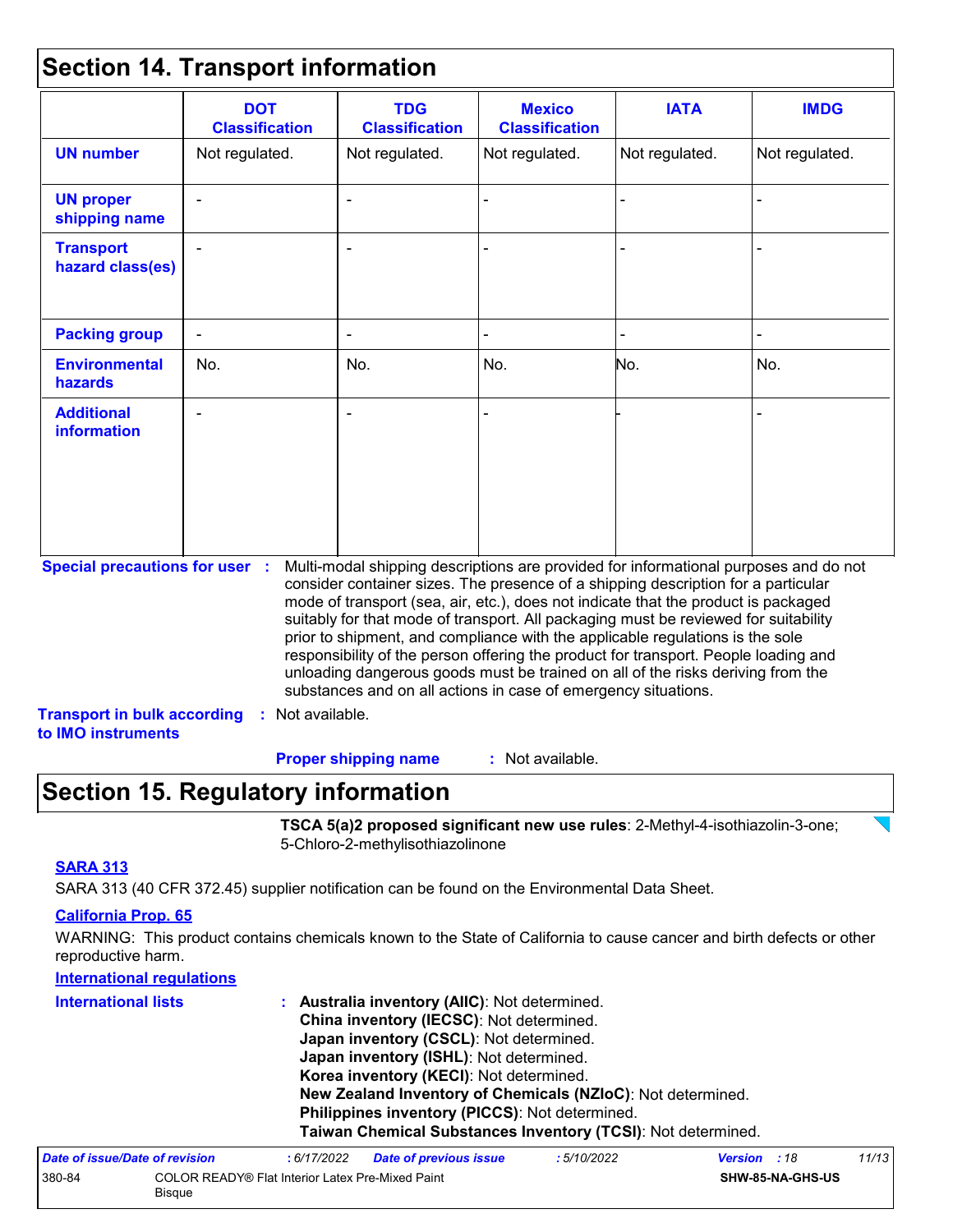### **Section 14. Transport information**

| <b>Classification</b>                                                                             | <b>TDG</b><br><b>Classification</b> | <b>Mexico</b><br><b>Classification</b>          | <b>IATA</b>      | <b>IMDG</b>                                                                                                                                                                                                                                                                                                                                                                                                                                                                                                                                                                                                                                                                         |
|---------------------------------------------------------------------------------------------------|-------------------------------------|-------------------------------------------------|------------------|-------------------------------------------------------------------------------------------------------------------------------------------------------------------------------------------------------------------------------------------------------------------------------------------------------------------------------------------------------------------------------------------------------------------------------------------------------------------------------------------------------------------------------------------------------------------------------------------------------------------------------------------------------------------------------------|
| Not regulated.                                                                                    | Not regulated.                      | Not regulated.                                  | Not regulated.   | Not regulated.                                                                                                                                                                                                                                                                                                                                                                                                                                                                                                                                                                                                                                                                      |
|                                                                                                   |                                     |                                                 |                  |                                                                                                                                                                                                                                                                                                                                                                                                                                                                                                                                                                                                                                                                                     |
|                                                                                                   |                                     |                                                 |                  |                                                                                                                                                                                                                                                                                                                                                                                                                                                                                                                                                                                                                                                                                     |
|                                                                                                   |                                     |                                                 |                  |                                                                                                                                                                                                                                                                                                                                                                                                                                                                                                                                                                                                                                                                                     |
| No.                                                                                               | No.                                 | No.                                             | No.              | No.                                                                                                                                                                                                                                                                                                                                                                                                                                                                                                                                                                                                                                                                                 |
|                                                                                                   |                                     |                                                 |                  |                                                                                                                                                                                                                                                                                                                                                                                                                                                                                                                                                                                                                                                                                     |
| <b>Special precautions for user :</b><br><b>Transport in bulk according</b><br>to IMO instruments |                                     |                                                 |                  |                                                                                                                                                                                                                                                                                                                                                                                                                                                                                                                                                                                                                                                                                     |
|                                                                                                   |                                     | : Not available.<br><b>Proper shipping name</b> | : Not available. | Multi-modal shipping descriptions are provided for informational purposes and do not<br>consider container sizes. The presence of a shipping description for a particular<br>mode of transport (sea, air, etc.), does not indicate that the product is packaged<br>suitably for that mode of transport. All packaging must be reviewed for suitability<br>prior to shipment, and compliance with the applicable regulations is the sole<br>responsibility of the person offering the product for transport. People loading and<br>unloading dangerous goods must be trained on all of the risks deriving from the<br>substances and on all actions in case of emergency situations. |

# **Section 15. Regulatory information**

**TSCA 5(a)2 proposed significant new use rules**: 2-Methyl-4-isothiazolin-3-one; 5-Chloro-2-methylisothiazolinone

#### **SARA 313**

SARA 313 (40 CFR 372.45) supplier notification can be found on the Environmental Data Sheet.

#### **California Prop. 65**

WARNING: This product contains chemicals known to the State of California to cause cancer and birth defects or other reproductive harm.

| <b>International regulations</b> |                                                                                                                                                                                                                                                                                         |                        |            |                |       |  |
|----------------------------------|-----------------------------------------------------------------------------------------------------------------------------------------------------------------------------------------------------------------------------------------------------------------------------------------|------------------------|------------|----------------|-------|--|
| <b>International lists</b>       | Australia inventory (AIIC): Not determined.<br>China inventory (IECSC): Not determined.<br>Japan inventory (CSCL): Not determined.<br>Japan inventory (ISHL): Not determined.<br>Korea inventory (KECI): Not determined.<br>New Zealand Inventory of Chemicals (NZIoC): Not determined. |                        |            |                |       |  |
|                                  |                                                                                                                                                                                                                                                                                         |                        |            |                |       |  |
|                                  |                                                                                                                                                                                                                                                                                         |                        |            |                |       |  |
| Dato of issue/Dato of revision   | . 6/17/2022                                                                                                                                                                                                                                                                             | Dato of provinus issue | .5/10/2022 | Vareion<br>.18 | 11/1' |  |

| Date of issue/Date of revision |                                                                   | : 6/17/2022 | <b>Date of previous issue</b> | : 5/10/2022 | <b>Version</b> : 18 |                         | 11/13 |
|--------------------------------|-------------------------------------------------------------------|-------------|-------------------------------|-------------|---------------------|-------------------------|-------|
| 380-84                         | COLOR READY® Flat Interior Latex Pre-Mixed Paint<br><b>Bisque</b> |             |                               |             |                     | <b>SHW-85-NA-GHS-US</b> |       |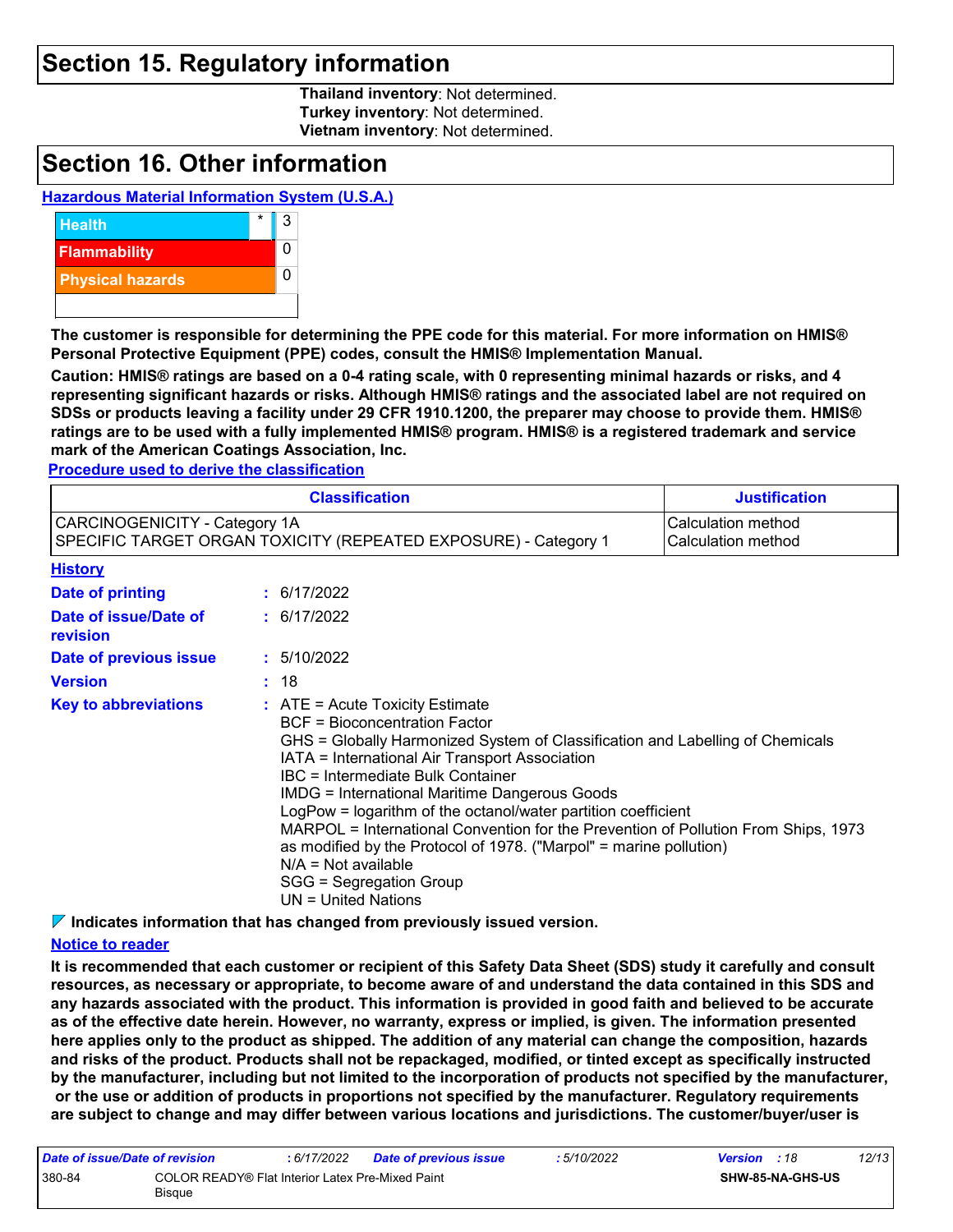### **Section 15. Regulatory information**

**Thailand inventory**: Not determined. **Turkey inventory**: Not determined. **Vietnam inventory**: Not determined.

### **Section 16. Other information**

#### **Hazardous Material Information System (U.S.A.)**



**The customer is responsible for determining the PPE code for this material. For more information on HMIS® Personal Protective Equipment (PPE) codes, consult the HMIS® Implementation Manual.**

**Caution: HMIS® ratings are based on a 0-4 rating scale, with 0 representing minimal hazards or risks, and 4 representing significant hazards or risks. Although HMIS® ratings and the associated label are not required on SDSs or products leaving a facility under 29 CFR 1910.1200, the preparer may choose to provide them. HMIS® ratings are to be used with a fully implemented HMIS® program. HMIS® is a registered trademark and service mark of the American Coatings Association, Inc.**

**Procedure used to derive the classification**

|                                                                                                  | <b>Justification</b> |                                                                                                                                                                                                                                                                                                                                                                                                                                                                                                                                                                                                                                     |                                          |  |  |
|--------------------------------------------------------------------------------------------------|----------------------|-------------------------------------------------------------------------------------------------------------------------------------------------------------------------------------------------------------------------------------------------------------------------------------------------------------------------------------------------------------------------------------------------------------------------------------------------------------------------------------------------------------------------------------------------------------------------------------------------------------------------------------|------------------------------------------|--|--|
| CARCINOGENICITY - Category 1A<br>SPECIFIC TARGET ORGAN TOXICITY (REPEATED EXPOSURE) - Category 1 |                      |                                                                                                                                                                                                                                                                                                                                                                                                                                                                                                                                                                                                                                     | Calculation method<br>Calculation method |  |  |
| <b>History</b>                                                                                   |                      |                                                                                                                                                                                                                                                                                                                                                                                                                                                                                                                                                                                                                                     |                                          |  |  |
| Date of printing                                                                                 |                      | : 6/17/2022                                                                                                                                                                                                                                                                                                                                                                                                                                                                                                                                                                                                                         |                                          |  |  |
| Date of issue/Date of<br>revision                                                                |                      | : 6/17/2022                                                                                                                                                                                                                                                                                                                                                                                                                                                                                                                                                                                                                         |                                          |  |  |
| Date of previous issue                                                                           |                      | : 5/10/2022                                                                                                                                                                                                                                                                                                                                                                                                                                                                                                                                                                                                                         |                                          |  |  |
| <b>Version</b>                                                                                   |                      | : 18                                                                                                                                                                                                                                                                                                                                                                                                                                                                                                                                                                                                                                |                                          |  |  |
| <b>Key to abbreviations</b>                                                                      |                      | $\therefore$ ATE = Acute Toxicity Estimate<br><b>BCF = Bioconcentration Factor</b><br>GHS = Globally Harmonized System of Classification and Labelling of Chemicals<br>IATA = International Air Transport Association<br><b>IBC</b> = Intermediate Bulk Container<br><b>IMDG = International Maritime Dangerous Goods</b><br>LogPow = logarithm of the octanol/water partition coefficient<br>MARPOL = International Convention for the Prevention of Pollution From Ships, 1973<br>as modified by the Protocol of 1978. ("Marpol" = marine pollution)<br>$N/A = Not available$<br>SGG = Segregation Group<br>$UN = United Nations$ |                                          |  |  |

**Indicates information that has changed from previously issued version.**

#### **Notice to reader**

**It is recommended that each customer or recipient of this Safety Data Sheet (SDS) study it carefully and consult resources, as necessary or appropriate, to become aware of and understand the data contained in this SDS and any hazards associated with the product. This information is provided in good faith and believed to be accurate as of the effective date herein. However, no warranty, express or implied, is given. The information presented here applies only to the product as shipped. The addition of any material can change the composition, hazards and risks of the product. Products shall not be repackaged, modified, or tinted except as specifically instructed by the manufacturer, including but not limited to the incorporation of products not specified by the manufacturer, or the use or addition of products in proportions not specified by the manufacturer. Regulatory requirements are subject to change and may differ between various locations and jurisdictions. The customer/buyer/user is** 

| Date of issue/Date of revision |                                                            | : 6/17/2022 | <b>Date of previous issue</b> | : 5/10/2022 | <b>Version</b> : 18 |                         | 12/13 |
|--------------------------------|------------------------------------------------------------|-------------|-------------------------------|-------------|---------------------|-------------------------|-------|
| 380-84                         | COLOR READY® Flat Interior Latex Pre-Mixed Paint<br>Bisque |             |                               |             |                     | <b>SHW-85-NA-GHS-US</b> |       |